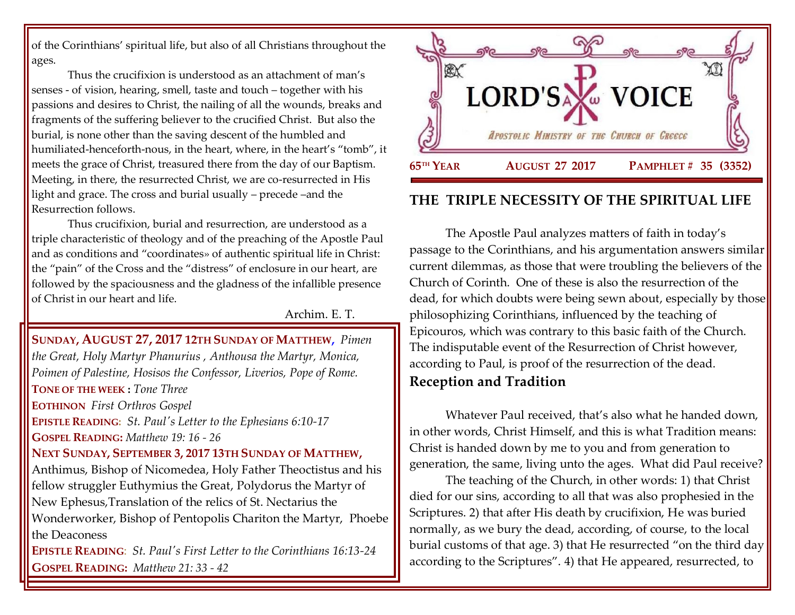of the Corinthians' spiritual life, but also of all Christians throughout the ages.

Thus the crucifixion is understood as an attachment of man's senses - of vision, hearing, smell, taste and touch – together with his passions and desires to Christ, the nailing of all the wounds, breaks and fragments of the suffering believer to the crucified Christ. But also the burial, is none other than the saving descent of the humbled and humiliated-henceforth-nous, in the heart, where, in the heart's "tomb", it meets the grace of Christ, treasured there from the day of our Baptism. Meeting, in there, the resurrected Christ, we are co-resurrected in His light and grace. The cross and burial usually – precede –and the Resurrection follows.

Thus crucifixion, burial and resurrection, are understood as a triple characteristic of theology and of the preaching of the Apostle Paul and as conditions and "coordinates» of authentic spiritual life in Christ: the "pain" of the Cross and the "distress" of enclosure in our heart, are followed by the spaciousness and the gladness of the infallible presence of Christ in our heart and life.

Archim. E. T.

**SUNDAY, AUGUST 27, 2017 12TH SUNDAY OF MATTHEW,** *Pimen the Great, Holy Martyr Phanurius , Anthousa the Martyr, Monica, Poimen of Palestine, Hosisos the Confessor, Liverios, Pope of Rome.*  **TONE OF THE WEEK :** *Tone Three* **EOTHINON** *First Orthros Gospel* **EPISTLE READING:** *[St. Paul's Letter to the Ephesians 6:10-17](https://www.goarch.org/chapel/lectionary?type=epistle&code=27&event=940&date=5/28/2017)* **GOSPEL READING:** *[Matthew 19:](https://www.goarch.org/chapel/lectionary?type=gospel&code=43&event=940&date=5/28/2017) 16 - 26* **NEXT SUNDAY, SEPTEMBER 3, 2017 13TH S[UNDAY OF](https://www.goarch.org/chapel/saints?contentid=1140&PCode=13PES&D=S&date=9/3/2017) MATTHEW,** Anthimus, Bishop of Nicomedea, Holy Father Theoctistus and his fellow struggler Euthymius the Great, Polydorus the Martyr of New Ephesus,Translation of the relics of St. Nectarius the Wonderworker, Bishop of Pentopolis Chariton the Martyr, Phoebe the Deaconess **EPISTLE READING**: *[St. Paul's First Letter to the Corinthians 16:13-24](https://www.goarch.org/chapel/lectionary?type=epistle&code=27&event=940&date=5/28/2017)* **GOSPEL READING:** *[Matthew 21:](https://www.goarch.org/chapel/lectionary?type=gospel&code=43&event=940&date=5/28/2017) 33 - 42*

K. **LORD'SA** W VOICE APOSTOLIC MINISTRY OF THE CHURCH OF GREECE **65TH YEAR TH YEAR AUGUST 27 2017 PAMPHLET # 35 (3352)** Ï

## **THE TRIPLE NECESSITY OF THE SPIRITUAL LIFE**

The Apostle Paul analyzes matters of faith in today's passage to the Corinthians, and his argumentation answers similar current dilemmas, as those that were troubling the believers of the Church of Corinth. One of these is also the resurrection of the dead, for which doubts were being sewn about, especially by those philosophizing Corinthians, influenced by the teaching of Epicouros, which was contrary to this basic faith of the Church. The indisputable event of the Resurrection of Christ however, according to Paul, is proof of the resurrection of the dead. **Reception and Tradition**

Whatever Paul received, that's also what he handed down, in other words, Christ Himself, and this is what Tradition means: Christ is handed down by me to you and from generation to generation, the same, living unto the ages. What did Paul receive?

The teaching of the Church, in other words: 1) that Christ died for our sins, according to all that was also prophesied in the Scriptures. 2) that after His death by crucifixion, He was buried normally, as we bury the dead, according, of course, to the local burial customs of that age. 3) that He resurrected "on the third day according to the Scriptures". 4) that He appeared, resurrected, to